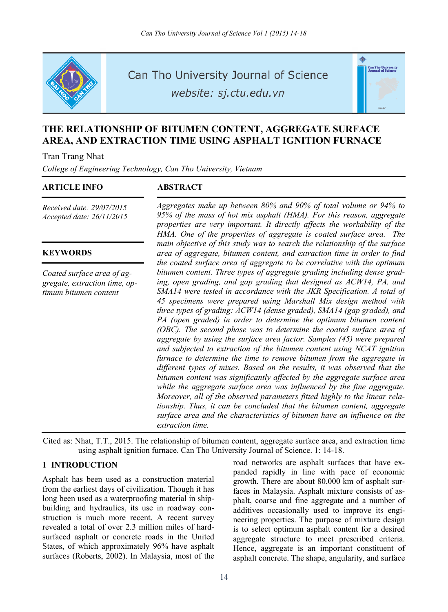

Can Tho University Journal of Science

website: sj.ctu.edu.vn



# **THE RELATIONSHIP OF BITUMEN CONTENT, AGGREGATE SURFACE AREA, AND EXTRACTION TIME USING ASPHALT IGNITION FURNACE**

Tran Trang Nhat

*College of Engineering Technology, Can Tho University, Vietnam* 

#### **ARTICLE INFO ABSTRACT**

*Received date: 29/07/2015 Accepted date: 26/11/2015*

## **KEYWORDS**

*Coated surface area of aggregate, extraction time, optimum bitumen content*

*Aggregates make up between 80% and 90% of total volume or 94% to 95% of the mass of hot mix asphalt (HMA). For this reason, aggregate properties are very important. It directly affects the workability of the HMA. One of the properties of aggregate is coated surface area. The main objective of this study was to search the relationship of the surface area of aggregate, bitumen content, and extraction time in order to find the coated surface area of aggregate to be correlative with the optimum bitumen content. Three types of aggregate grading including dense grading, open grading, and gap grading that designed as ACW14, PA, and SMA14 were tested in accordance with the JKR Specification. A total of 45 specimens were prepared using Marshall Mix design method with three types of grading: ACW14 (dense graded), SMA14 (gap graded), and PA (open graded) in order to determine the optimum bitumen content (OBC). The second phase was to determine the coated surface area of aggregate by using the surface area factor. Samples (45) were prepared and subjected to extraction of the bitumen content using NCAT ignition furnace to determine the time to remove bitumen from the aggregate in different types of mixes. Based on the results, it was observed that the bitumen content was significantly affected by the aggregate surface area while the aggregate surface area was influenced by the fine aggregate. Moreover, all of the observed parameters fitted highly to the linear relationship. Thus, it can be concluded that the bitumen content, aggregate surface area and the characteristics of bitumen have an influence on the extraction time.* 

Cited as: Nhat, T.T., 2015. The relationship of bitumen content, aggregate surface area, and extraction time using asphalt ignition furnace. Can Tho University Journal of Science. 1: 14-18.

## **1 INTRODUCTION**

Asphalt has been used as a construction material from the earliest days of civilization. Though it has long been used as a waterproofing material in shipbuilding and hydraulics, its use in roadway construction is much more recent. A recent survey revealed a total of over 2.3 million miles of hardsurfaced asphalt or concrete roads in the United States, of which approximately 96% have asphalt surfaces (Roberts, 2002). In Malaysia, most of the

road networks are asphalt surfaces that have expanded rapidly in line with pace of economic growth. There are about 80,000 km of asphalt surfaces in Malaysia. Asphalt mixture consists of asphalt, coarse and fine aggregate and a number of additives occasionally used to improve its engineering properties. The purpose of mixture design is to select optimum asphalt content for a desired aggregate structure to meet prescribed criteria. Hence, aggregate is an important constituent of asphalt concrete. The shape, angularity, and surface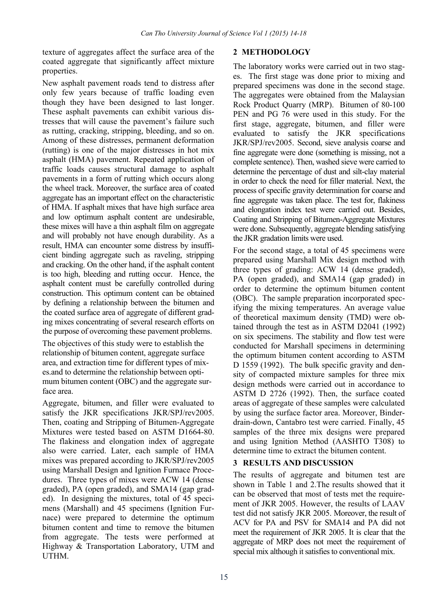texture of aggregates affect the surface area of the coated aggregate that significantly affect mixture properties.

New asphalt pavement roads tend to distress after only few years because of traffic loading even though they have been designed to last longer. These asphalt pavements can exhibit various distresses that will cause the pavement's failure such as rutting, cracking, stripping, bleeding, and so on. Among of these distresses, permanent deformation (rutting) is one of the major distresses in hot mix asphalt (HMA) pavement. Repeated application of traffic loads causes structural damage to asphalt pavements in a form of rutting which occurs along the wheel track. Moreover, the surface area of coated aggregate has an important effect on the characteristic of HMA. If asphalt mixes that have high surface area and low optimum asphalt content are undesirable, these mixes will have a thin asphalt film on aggregate and will probably not have enough durability. As a result, HMA can encounter some distress by insufficient binding aggregate such as raveling, stripping and cracking. On the other hand, if the asphalt content is too high, bleeding and rutting occur. Hence, the asphalt content must be carefully controlled during construction. This optimum content can be obtained by defining a relationship between the bitumen and the coated surface area of aggregate of different grading mixes concentrating of several research efforts on the purpose of overcoming these pavement problems.

The objectives of this study were to establish the relationship of bitumen content, aggregate surface area, and extraction time for different types of mixes.and to determine the relationship between optimum bitumen content (OBC) and the aggregate surface area.

Aggregate, bitumen, and filler were evaluated to satisfy the JKR specifications JKR/SPJ/rev2005. Then, coating and Stripping of Bitumen-Aggregate Mixtures were tested based on ASTM D1664-80. The flakiness and elongation index of aggregate also were carried. Later, each sample of HMA mixes was prepared according to JKR/SPJ/rev2005 using Marshall Design and Ignition Furnace Procedures. Three types of mixes were ACW 14 (dense graded), PA (open graded), and SMA14 (gap graded). In designing the mixtures, total of 45 specimens (Marshall) and 45 specimens (Ignition Furnace) were prepared to determine the optimum bitumen content and time to remove the bitumen from aggregate. The tests were performed at Highway & Transportation Laboratory, UTM and **UTHM** 

## **2 METHODOLOGY**

The laboratory works were carried out in two stages. The first stage was done prior to mixing and prepared specimens was done in the second stage. The aggregates were obtained from the Malaysian Rock Product Quarry (MRP). Bitumen of 80-100 PEN and PG 76 were used in this study. For the first stage, aggregate, bitumen, and filler were evaluated to satisfy the JKR specifications JKR/SPJ/rev2005. Second, sieve analysis coarse and fine aggregate were done (something is missing, not a complete sentence). Then, washed sieve were carried to determine the percentage of dust and silt-clay material in order to check the need for filler material. Next, the process of specific gravity determination for coarse and fine aggregate was taken place. The test for, flakiness and elongation index test were carried out. Besides, Coating and Stripping of Bitumen-Aggregate Mixtures were done. Subsequently, aggregate blending satisfying the JKR gradation limits were used.

For the second stage, a total of 45 specimens were prepared using Marshall Mix design method with three types of grading: ACW 14 (dense graded), PA (open graded), and SMA14 (gap graded) in order to determine the optimum bitumen content (OBC). The sample preparation incorporated specifying the mixing temperatures. An average value of theoretical maximum density (TMD) were obtained through the test as in ASTM D2041 (1992) on six specimens. The stability and flow test were conducted for Marshall specimens in determining the optimum bitumen content according to ASTM D 1559 (1992). The bulk specific gravity and density of compacted mixture samples for three mix design methods were carried out in accordance to ASTM D 2726 (1992). Then, the surface coated areas of aggregate of these samples were calculated by using the surface factor area. Moreover, Binderdrain-down, Cantabro test were carried. Finally, 45 samples of the three mix designs were prepared and using Ignition Method (AASHTO T308) to determine time to extract the bitumen content.

## **3 RESULTS AND DISCUSSION**

The results of aggregate and bitumen test are shown in Table 1 and 2.The results showed that it can be observed that most of tests met the requirement of JKR 2005. However, the results of LAAV test did not satisfy JKR 2005. Moreover, the result of ACV for PA and PSV for SMA14 and PA did not meet the requirement of JKR 2005. It is clear that the aggregate of MRP does not meet the requirement of special mix although it satisfies to conventional mix.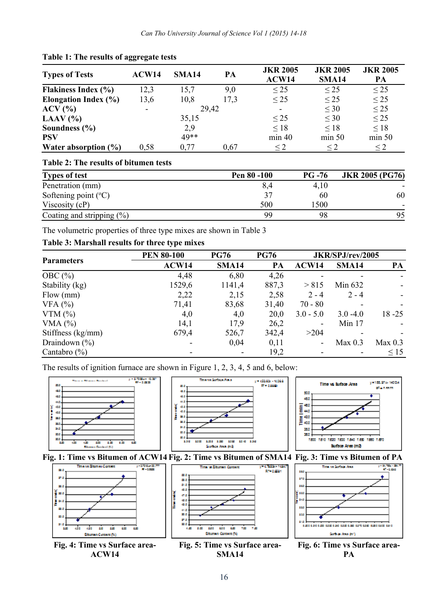| <b>Types of Tests</b>            | ACW14                    | SMA <sub>14</sub> | PA   | <b>JKR 2005</b><br>ACW14 | <b>JKR 2005</b><br>SMA <sub>14</sub> | <b>JKR 2005</b><br>PA |
|----------------------------------|--------------------------|-------------------|------|--------------------------|--------------------------------------|-----------------------|
| Flakiness Index (%)              | 12,3                     | 15.7              | 9,0  | $\leq$ 25                | $\leq$ 25                            | $\leq$ 25             |
| <b>Elongation Index (%)</b>      | 13,6                     | 10,8              | 17.3 | $\leq$ 25                | $\leq$ 25                            | $\leq$ 25             |
| $ACV$ $\left(\frac{9}{6}\right)$ | $\overline{\phantom{a}}$ | 29,42             |      |                          | $\leq 30$                            | $\leq$ 25             |
| LAAV $(% )$                      |                          | 35,15             |      | $\leq$ 25                | $<$ 30                               | $\leq$ 25             |
| Soundness $(\% )$                |                          | 2.9               |      | $\leq$ 18                | $\leq$ 18                            | $\leq 18$             |
| <b>PSV</b>                       |                          | 49**              |      | min 40                   | min 50                               | min 50                |
| Water absorption $(\%)$          | 0.58                     | 0.77              | 0.67 | $\leq$ 2.                | $\leq$ 2                             | $\leq$ 2              |

#### **Table 1: The results of aggregate tests**

## **Table 2: The results of bitumen tests**

| <b>Types of test</b>            | Pen 80 -100 | $PG - 76$ | <b>JKR 2005 (PG76)</b> |
|---------------------------------|-------------|-----------|------------------------|
| Penetration (mm)                | 8,4         | 4,10      |                        |
| Softening point $({}^{\circ}C)$ | 37          | 60        | 60                     |
| Viscosity $(cP)$                | 500         | 1500      |                        |
| Coating and stripping $(\%)$    | 99          | 98        | 95                     |

The volumetric properties of three type mixes are shown in Table 3

## **Table 3: Marshall results for three type mixes**

**ACW14** 

|                   | <b>PEN 80-100</b> | <b>PG76</b>       | <b>PG76</b> | JKR/SPJ/rev/2005         |                   |                    |
|-------------------|-------------------|-------------------|-------------|--------------------------|-------------------|--------------------|
| <b>Parameters</b> | ACW14             | SMA <sub>14</sub> | PA          | ACW14                    | SMA <sub>14</sub> | PA                 |
| OBC $(\% )$       | 4,48              | 6,80              | 4,26        |                          |                   |                    |
| Stability (kg)    | 1529,6            | 1141,4            | 887,3       | > 815                    | Min 632           |                    |
| Flow (mm)         | 2,22              | 2,15              | 2,58        | $2 - 4$                  | $2 - 4$           |                    |
| VFA $(%)$         | 71,41             | 83,68             | 31,40       | $70 - 80$                |                   |                    |
| VTM $(\%)$        | 4,0               | 4,0               | 20,0        | $3.0 - 5.0$              | $3.0 - 4.0$       | $18 - 25$          |
| VMA $(%)$         | 14,1              | 17,9              | 26,2        | $\overline{\phantom{a}}$ | Min $17$          |                    |
| Stiffness (kg/mm) | 679,4             | 526.7             | 342,4       | >204                     |                   |                    |
| Draindown $(\% )$ |                   | 0,04              | 0,11        | $\overline{\phantom{a}}$ | Max 0.3           | Max <sub>0.3</sub> |
| Cantabro $(\% )$  |                   |                   | 19,2        |                          |                   | $\leq$ 15          |

The results of ignition furnace are shown in Figure 1, 2, 3, 4, 5 and 6, below:



**SMA14** 

**PA**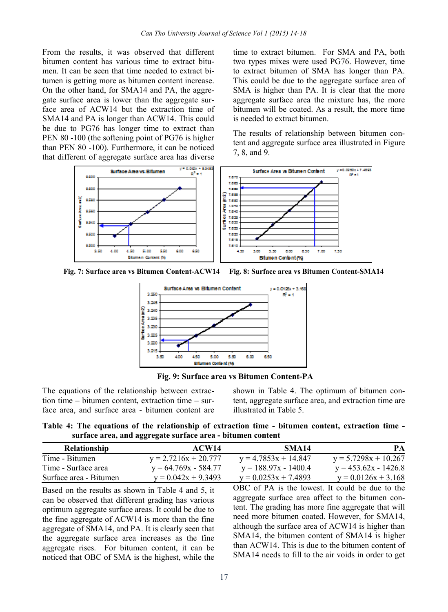From the results, it was observed that different bitumen content has various time to extract bitumen. It can be seen that time needed to extract bitumen is getting more as bitumen content increase. On the other hand, for SMA14 and PA, the aggregate surface area is lower than the aggregate surface area of ACW14 but the extraction time of SMA14 and PA is longer than ACW14. This could be due to PG76 has longer time to extract than PEN 80 -100 (the softening point of PG76 is higher than PEN 80 -100). Furthermore, it can be noticed that different of aggregate surface area has diverse

time to extract bitumen. For SMA and PA, both two types mixes were used PG76. However, time to extract bitumen of SMA has longer than PA. This could be due to the aggregate surface area of SMA is higher than PA. It is clear that the more aggregate surface area the mixture has, the more bitumen will be coated. As a result, the more time is needed to extract bitumen.

The results of relationship between bitumen content and aggregate surface area illustrated in Figure 7, 8, and 9.



**Fig. 7: Surface area vs Bitumen Content-ACW14 Fig. 8: Surface area vs Bitumen Content-SMA14** 



 **Fig. 9: Surface area vs Bitumen Content-PA** 

The equations of the relationship between extraction time – bitumen content, extraction time – surface area, and surface area - bitumen content are

shown in Table 4. The optimum of bitumen content, aggregate surface area, and extraction time are illustrated in Table 5.

**Table 4: The equations of the relationship of extraction time - bitumen content, extraction time surface area, and aggregate surface area - bitumen content** 

| <b>Relationship</b>    | ACW14                  | <b>SMA14</b>           | PA.                    |
|------------------------|------------------------|------------------------|------------------------|
| Time - Bitumen         | $y = 2.7216x + 20.777$ | $y = 4.7853x + 14.847$ | $y = 5.7298x + 10.267$ |
| Time - Surface area    | $y = 64.769x - 584.77$ | $y = 188.97x - 1400.4$ | $y = 453.62x - 1426.8$ |
| Surface area - Bitumen | $y = 0.042x + 9.3493$  | $y = 0.0253x + 7.4893$ | $v = 0.0126x + 3.168$  |

Based on the results as shown in Table 4 and 5, it can be observed that different grading has various optimum aggregate surface areas. It could be due to the fine aggregate of ACW14 is more than the fine aggregate of SMA14, and PA. It is clearly seen that the aggregate surface area increases as the fine aggregate rises. For bitumen content, it can be noticed that OBC of SMA is the highest, while the

OBC of PA is the lowest. It could be due to the aggregate surface area affect to the bitumen content. The grading has more fine aggregate that will need more bitumen coated. However, for SMA14, although the surface area of ACW14 is higher than SMA14, the bitumen content of SMA14 is higher than ACW14. This is due to the bitumen content of SMA14 needs to fill to the air voids in order to get